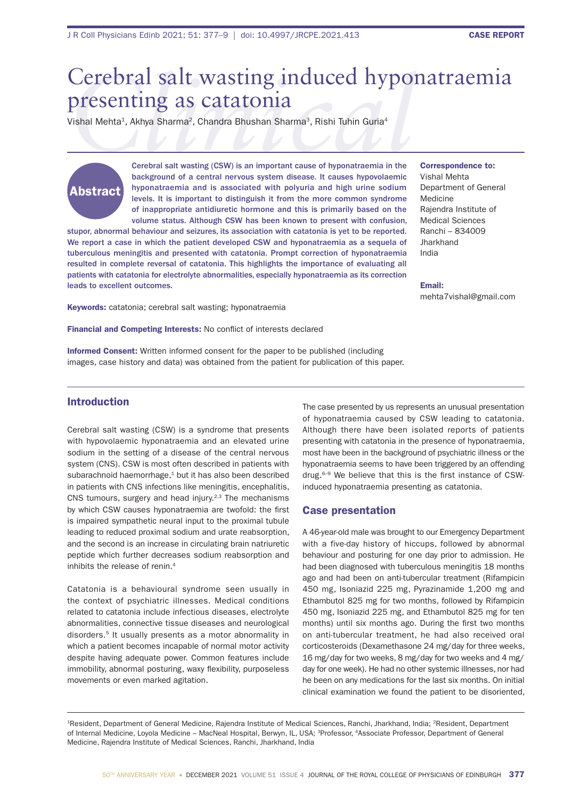# Cerebral salt wasting induced hyponatraemia<br>
Presenting as catatonia<br>
Vishal Mehta<sup>1</sup>, Akhya Sharma<sup>2</sup>, Chandra Bhushan Sharma<sup>3</sup>, Rishi Tuhin Guria<sup>4</sup><br>
Cerebral salt wasting (CSW) is an important cause of hyponatraemia in presenting as catatonia

Vishal Mehta<sup>1</sup>, Akhya Sharma<sup>2</sup>, Chandra Bhushan Sharma<sup>3</sup>, Rishi Tuhin Guria<sup>4</sup>

# Abstract

Cerebral salt wasting (CSW) is an important cause of hyponatraemia in the background of a central nervous system disease. It causes hypovolaemic hyponatraemia and is associated with polyuria and high urine sodium levels. It is important to distinguish it from the more common syndrome of inappropriate antidiuretic hormone and this is primarily based on the volume status. Although CSW has been known to present with confusion,

stupor, abnormal behaviour and seizures, its association with catatonia is yet to be reported. We report a case in which the patient developed CSW and hyponatraemia as a sequela of tuberculous meningitis and presented with catatonia. Prompt correction of hyponatraemia resulted in complete reversal of catatonia. This highlights the importance of evaluating all patients with catatonia for electrolyte abnormalities, especially hyponatraemia as its correction leads to excellent outcomes.

Keywords: catatonia; cerebral salt wasting; hyponatraemia

Financial and Competing Interests: No conflict of interests declared

Informed Consent: Written informed consent for the paper to be published (including images, case history and data) was obtained from the patient for publication of this paper.

### Correspondence to: Vishal Mehta Department of General Medicine Rajendra Institute of Medical Sciences Ranchi – 834009 **Jharkhand** India

Email: mehta7vishal@gmail.com

# Introduction

Cerebral salt wasting (CSW) is a syndrome that presents with hypovolaemic hyponatraemia and an elevated urine sodium in the setting of a disease of the central nervous system (CNS). CSW is most often described in patients with subarachnoid haemorrhage,<sup>1</sup> but it has also been described in patients with CNS infections like meningitis, encephalitis, CNS tumours, surgery and head injury.<sup>2,3</sup> The mechanisms by which CSW causes hyponatraemia are twofold: the first is impaired sympathetic neural input to the proximal tubule leading to reduced proximal sodium and urate reabsorption, and the second is an increase in circulating brain natriuretic peptide which further decreases sodium reabsorption and inhibits the release of renin.<sup>4</sup>

Catatonia is a behavioural syndrome seen usually in the context of psychiatric illnesses. Medical conditions related to catatonia include infectious diseases, electrolyte abnormalities, connective tissue diseases and neurological disorders.5 It usually presents as a motor abnormality in which a patient becomes incapable of normal motor activity despite having adequate power. Common features include immobility, abnormal posturing, waxy flexibility, purposeless movements or even marked agitation.

The case presented by us represents an unusual presentation of hyponatraemia caused by CSW leading to catatonia. Although there have been isolated reports of patients presenting with catatonia in the presence of hyponatraemia, most have been in the background of psychiatric illness or the hyponatraemia seems to have been triggered by an offending drug.<sup>6-9</sup> We believe that this is the first instance of CSWinduced hyponatraemia presenting as catatonia.

# Case presentation

A 46-year-old male was brought to our Emergency Department with a five-day history of hiccups, followed by abnormal behaviour and posturing for one day prior to admission. He had been diagnosed with tuberculous meningitis 18 months ago and had been on anti-tubercular treatment (Rifampicin 450 mg, Isoniazid 225 mg, Pyrazinamide 1,200 mg and Ethambutol 825 mg for two months, followed by Rifampicin 450 mg, Isoniazid 225 mg, and Ethambutol 825 mg for ten months) until six months ago. During the first two months on anti-tubercular treatment, he had also received oral corticosteroids (Dexamethasone 24 mg/day for three weeks, 16 mg/day for two weeks, 8 mg/day for two weeks and 4 mg/ day for one week). He had no other systemic illnesses, nor had he been on any medications for the last six months. On initial clinical examination we found the patient to be disoriented,

<sup>1</sup>Resident, Department of General Medicine, Rajendra Institute of Medical Sciences, Ranchi, Jharkhand, India; <sup>2</sup>Resident, Department of Internal Medicine, Loyola Medicine – MacNeal Hospital, Berwyn, IL, USA; <sup>3</sup>Professor, <sup>4</sup>Associate Professor, Department of General Medicine, Rajendra Institute of Medical Sciences, Ranchi, Jharkhand, India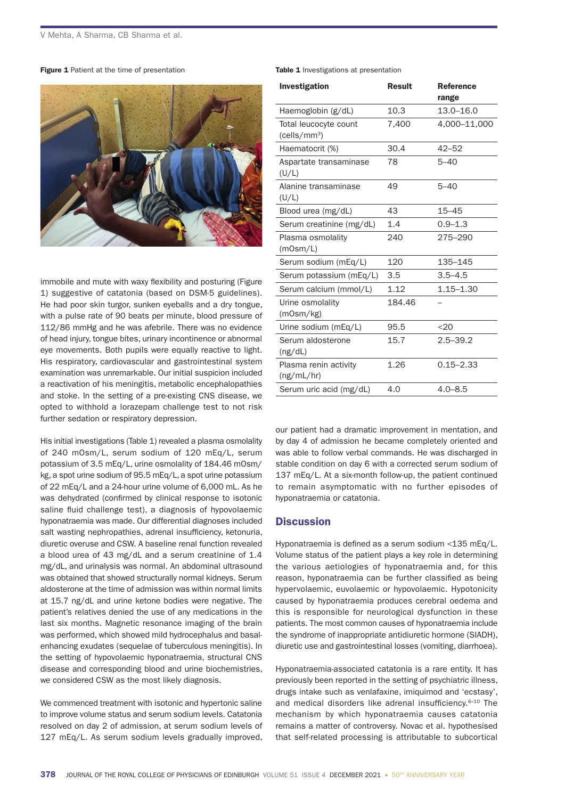#### Figure 1 Patient at the time of presentation



immobile and mute with waxy flexibility and posturing (Figure 1) suggestive of catatonia (based on DSM-5 guidelines). He had poor skin turgor, sunken eyeballs and a dry tongue, with a pulse rate of 90 beats per minute, blood pressure of 112/86 mmHg and he was afebrile. There was no evidence of head injury, tongue bites, urinary incontinence or abnormal eye movements. Both pupils were equally reactive to light. His respiratory, cardiovascular and gastrointestinal system examination was unremarkable. Our initial suspicion included a reactivation of his meningitis, metabolic encephalopathies and stoke. In the setting of a pre-existing CNS disease, we opted to withhold a lorazepam challenge test to not risk further sedation or respiratory depression.

His initial investigations (Table 1) revealed a plasma osmolality of 240 mOsm/L, serum sodium of 120 mEq/L, serum potassium of 3.5 mEq/L, urine osmolality of 184.46 mOsm/ kg, a spot urine sodium of 95.5 mEq/L, a spot urine potassium of 22 mEq/L and a 24-hour urine volume of 6,000 mL. As he was dehydrated (confirmed by clinical response to isotonic saline fluid challenge test), a diagnosis of hypovolaemic hyponatraemia was made. Our differential diagnoses included salt wasting nephropathies, adrenal insufficiency, ketonuria, diuretic overuse and CSW. A baseline renal function revealed a blood urea of 43 mg/dL and a serum creatinine of 1.4 mg/dL, and urinalysis was normal. An abdominal ultrasound was obtained that showed structurally normal kidneys. Serum aldosterone at the time of admission was within normal limits at 15.7 ng/dL and urine ketone bodies were negative. The patient's relatives denied the use of any medications in the last six months. Magnetic resonance imaging of the brain was performed, which showed mild hydrocephalus and basalenhancing exudates (sequelae of tuberculous meningitis). In the setting of hypovolaemic hyponatraemia, structural CNS disease and corresponding blood and urine biochemistries, we considered CSW as the most likely diagnosis.

We commenced treatment with isotonic and hypertonic saline to improve volume status and serum sodium levels. Catatonia resolved on day 2 of admission, at serum sodium levels of 127 mEq/L. As serum sodium levels gradually improved, Table 1 Investigations at presentation

| Investigation                                     | <b>Result</b> | <b>Reference</b><br>range |
|---------------------------------------------------|---------------|---------------------------|
| Haemoglobin (g/dL)                                | 10.3          | $13.0 - 16.0$             |
| Total leucocyte count<br>(cells/mm <sup>3</sup> ) | 7,400         | 4,000-11,000              |
| Haematocrit (%)                                   | 30.4          | $42 - 52$                 |
| Aspartate transaminase<br>(U/L)                   | 78            | $5 - 40$                  |
| Alanine transaminase<br>(U/L)                     | 49            | $5 - 40$                  |
| Blood urea (mg/dL)                                | 43            | $15 - 45$                 |
| Serum creatinine (mg/dL)                          | 1.4           | $0.9 - 1.3$               |
| Plasma osmolality<br>(mOsm/L)                     | 240           | 275-290                   |
| Serum sodium (mEq/L)                              | 120           | 135-145                   |
| Serum potassium (mEq/L)                           | 3.5           | $3.5 - 4.5$               |
| Serum calcium (mmol/L)                            | 1.12          | $1.15 - 1.30$             |
| Urine osmolality<br>(mOsm/kg)                     | 184.46        |                           |
| Urine sodium (mEq/L)                              | 95.5          | < 20                      |
| Serum aldosterone<br>(ng/dL)                      | 15.7          | $2.5 - 39.2$              |
| Plasma renin activity<br>(ng/mL/hr)               | 1.26          | $0.15 - 2.33$             |
| Serum uric acid (mg/dL)                           | 4.0           | $4.0 - 8.5$               |

our patient had a dramatic improvement in mentation, and by day 4 of admission he became completely oriented and was able to follow verbal commands. He was discharged in stable condition on day 6 with a corrected serum sodium of 137 mEq/L. At a six-month follow-up, the patient continued to remain asymptomatic with no further episodes of hyponatraemia or catatonia.

# **Discussion**

Hyponatraemia is defined as a serum sodium <135 mEq/L. Volume status of the patient plays a key role in determining the various aetiologies of hyponatraemia and, for this reason, hyponatraemia can be further classified as being hypervolaemic, euvolaemic or hypovolaemic. Hypotonicity caused by hyponatraemia produces cerebral oedema and this is responsible for neurological dysfunction in these patients. The most common causes of hyponatraemia include the syndrome of inappropriate antidiuretic hormone (SIADH), diuretic use and gastrointestinal losses (vomiting, diarrhoea).

Hyponatraemia-associated catatonia is a rare entity. It has previously been reported in the setting of psychiatric illness, drugs intake such as venlafaxine, imiquimod and 'ecstasy', and medical disorders like adrenal insufficiency. $6-10$  The mechanism by which hyponatraemia causes catatonia remains a matter of controversy. Novac et al. hypothesised that self-related processing is attributable to subcortical